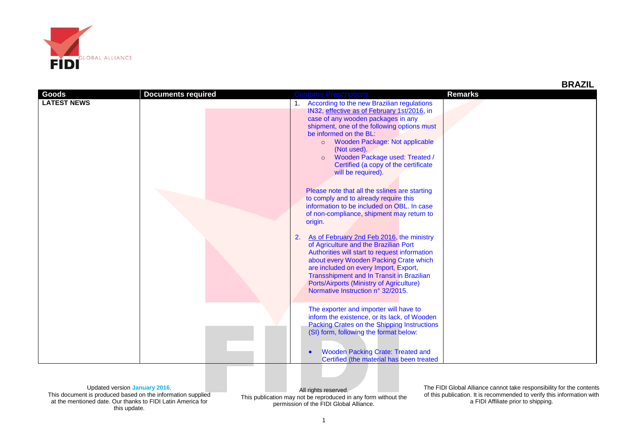

| BRAZI<br>11. |
|--------------|
|--------------|

| Goods              | <b>Documents required</b> | <b>Customs Prescriptions</b>                                                          | <b>Remarks</b> |
|--------------------|---------------------------|---------------------------------------------------------------------------------------|----------------|
| <b>LATEST NEWS</b> |                           | 1. According to the new Brazilian regulations                                         |                |
|                    |                           | IN32, effective as of February 1st/2016, in                                           |                |
|                    |                           | case of any wooden packages in any                                                    |                |
|                    |                           | shipment, one of the following options must                                           |                |
|                    |                           | be informed on the BL:<br>Wooden Package: Not applicable<br>$\circ$                   |                |
|                    |                           | (Not used).                                                                           |                |
|                    |                           | Wooden Package used: Treated /<br>$\circ$                                             |                |
|                    |                           | Certified (a copy of the certificate                                                  |                |
|                    |                           | will be required).                                                                    |                |
|                    |                           |                                                                                       |                |
|                    |                           | Please note that all the sslines are starting                                         |                |
|                    |                           | to comply and to already require this                                                 |                |
|                    |                           | information to be included on OBL. In case                                            |                |
|                    |                           | of non-compliance, shipment may return to                                             |                |
|                    |                           | origin.                                                                               |                |
|                    |                           | As of February 2nd Feb 2016, the ministry<br>2.                                       |                |
|                    |                           | of Agriculture and the Brazilian Port                                                 |                |
|                    |                           | Authorities will start to request information                                         |                |
|                    |                           | about every Wooden Packing Crate which                                                |                |
|                    |                           | are included on every Import, Export,                                                 |                |
|                    |                           | Transshipment and In Transit in Brazilian                                             |                |
|                    |                           | Ports/Airports (Ministry of Agriculture)                                              |                |
|                    |                           | Normative Instruction n° 32/2015.                                                     |                |
|                    |                           |                                                                                       |                |
|                    |                           | The exporter and importer will have to                                                |                |
|                    |                           | inform the existence, or its lack, of Wooden                                          |                |
|                    |                           | Packing Crates on the Shipping Instructions<br>(SI) form, following the format below: |                |
|                    |                           |                                                                                       |                |
|                    |                           |                                                                                       |                |
|                    |                           | <b>Wooden Packing Crate: Treated and</b>                                              |                |
|                    |                           | Certified (the material has been treated                                              |                |

Updated version **January 2016**. This document is produced based on the information supplied at the mentioned date. Our thanks to FIDI Latin America for

this update.

All rights reserved. This publication may not be reproduced in any form without the permission of the FIDI Global Alliance.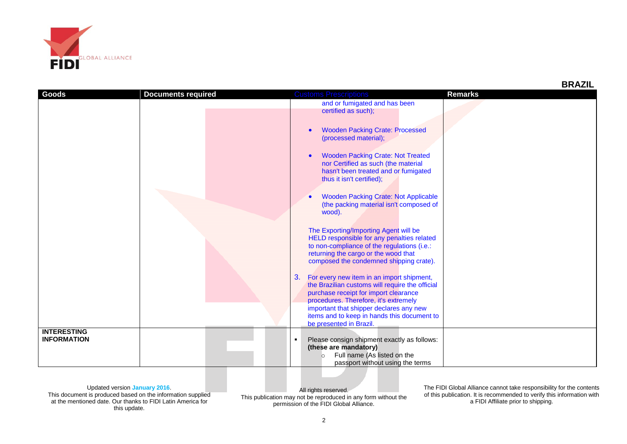

| <b>Goods</b>       | <b>Documents required</b> | <b>Customs Prescriptions</b>                                    | <b>Remarks</b> |
|--------------------|---------------------------|-----------------------------------------------------------------|----------------|
|                    |                           |                                                                 |                |
|                    |                           | and or fumigated and has been                                   |                |
|                    |                           | certified as such);                                             |                |
|                    |                           |                                                                 |                |
|                    |                           | <b>Wooden Packing Crate: Processed</b>                          |                |
|                    |                           | (processed material);                                           |                |
|                    |                           |                                                                 |                |
|                    |                           |                                                                 |                |
|                    |                           | <b>Wooden Packing Crate: Not Treated</b>                        |                |
|                    |                           | nor Certified as such (the material                             |                |
|                    |                           | hasn't been treated and or fumigated                            |                |
|                    |                           | thus it isn't certified);                                       |                |
|                    |                           |                                                                 |                |
|                    |                           | <b>Wooden Packing Crate: Not Applicable</b>                     |                |
|                    |                           | (the packing material isn't composed of                         |                |
|                    |                           | wood).                                                          |                |
|                    |                           |                                                                 |                |
|                    |                           |                                                                 |                |
|                    |                           | The Exporting/Importing Agent will be                           |                |
|                    |                           | HELD responsible for any penalties related                      |                |
|                    |                           | to non-compliance of the regulations (i.e.:                     |                |
|                    |                           | returning the cargo or the wood that                            |                |
|                    |                           | composed the condemned shipping crate).                         |                |
|                    |                           |                                                                 |                |
|                    |                           | 3.<br>For every new item in an import shipment,                 |                |
|                    |                           | the Brazilian customs will require the official                 |                |
|                    |                           | purchase receipt for import clearance                           |                |
|                    |                           | procedures. Therefore, it's extremely                           |                |
|                    |                           | important that shipper declares any new                         |                |
|                    |                           | items and to keep in hands this document to                     |                |
|                    |                           | be presented in Brazil.                                         |                |
| <b>INTERESTING</b> |                           |                                                                 |                |
| <b>INFORMATION</b> |                           | Please consign shipment exactly as follows:<br>$\blacksquare$   |                |
|                    |                           | (these are mandatory)                                           |                |
|                    |                           |                                                                 |                |
|                    |                           |                                                                 |                |
|                    |                           | Full name (As listed on the<br>passport without using the terms |                |

This document is produced based on the information supplied at the mentioned date. Our thanks to FIDI Latin America for this update.

All rights reserved. This publication may not be reproduced in any form without the permission of the FIDI Global Alliance.

The FIDI Global Alliance cannot take responsibility for the contents of this publication. It is recommended to verify this information with a FIDI Affiliate prior to shipping.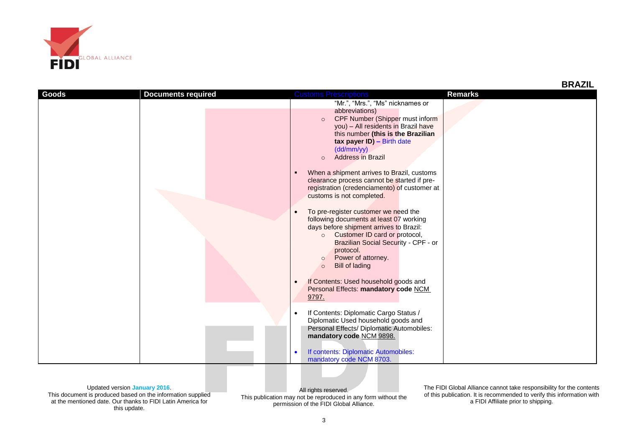

| Goods | <b>Documents required</b> | <b>Customs Prescriptions</b>                                                                                                                                                                                                                                                            | <b>Remarks</b> |
|-------|---------------------------|-----------------------------------------------------------------------------------------------------------------------------------------------------------------------------------------------------------------------------------------------------------------------------------------|----------------|
|       |                           | "Mr.", "Mrs.", "Ms" nicknames or                                                                                                                                                                                                                                                        |                |
|       |                           | abbreviations)<br>CPF Number (Shipper must inform<br>$\circ$<br>you) - All residents in Brazil have<br>this number (this is the Brazilian<br>tax payer ID) - Birth date<br>(dd/mm/yy)<br>Address in Brazil<br>$\Omega$                                                                  |                |
|       |                           | When a shipment arrives to Brazil, customs<br>clearance process cannot be started if pre-<br>registration (credenciamento) of customer at<br>customs is not completed.                                                                                                                  |                |
|       |                           | To pre-register customer we need the<br>following documents at least 07 working<br>days before shipment arrives to Brazil:<br>o Customer ID card or protocol,<br>Brazilian Social Security - CPF - or<br>protocol.<br>Power of attorney.<br>$\circ$<br><b>Bill of lading</b><br>$\circ$ |                |
|       |                           | If Contents: Used household goods and<br>Personal Effects: mandatory code NCM<br>9797.                                                                                                                                                                                                  |                |
|       |                           | If Contents: Diplomatic Cargo Status /<br>$\bullet$<br>Diplomatic Used household goods and<br>Personal Effects/ Diplomatic Automobiles:<br>mandatory code NCM 9898.                                                                                                                     |                |
|       |                           | If contents: Diplomatic Automobiles:<br>mandatory code NCM 8703.                                                                                                                                                                                                                        |                |

This document is produced based on the information supplied at the mentioned date. Our thanks to FIDI Latin America for this update.

All rights reserved. This publication may not be reproduced in any form without the permission of the FIDI Global Alliance.

The FIDI Global Alliance cannot take responsibility for the contents of this publication. It is recommended to verify this information with a FIDI Affiliate prior to shipping.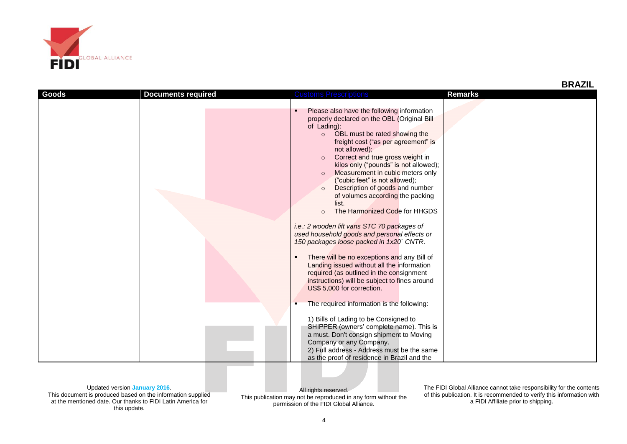

| Goods | <b>Documents required</b> | <b>Customs Prescriptions</b>                                                                                                                                                                                                                                                                                                                                                                                                                                                                                                                                                                                                                                                                                                                                                                                                                                                                                                                                                                                                                  | <b>Remarks</b> |
|-------|---------------------------|-----------------------------------------------------------------------------------------------------------------------------------------------------------------------------------------------------------------------------------------------------------------------------------------------------------------------------------------------------------------------------------------------------------------------------------------------------------------------------------------------------------------------------------------------------------------------------------------------------------------------------------------------------------------------------------------------------------------------------------------------------------------------------------------------------------------------------------------------------------------------------------------------------------------------------------------------------------------------------------------------------------------------------------------------|----------------|
|       |                           | Please also have the following information<br>٠<br>properly declared on the OBL (Original Bill<br>of Lading):<br>OBL must be rated showing the<br>$\circ$<br>freight cost ("as per agreement" is<br>not allowed);<br>Correct and true gross weight in<br>$\circ$<br>kilos only ("pounds" is not allowed);<br>Measurement in cubic meters only<br>$\circ$<br>("cubic feet" is not allowed);<br>Description of goods and number<br>$\Omega$<br>of volumes according the packing<br>list.<br>The Harmonized Code for HHGDS<br>$\circ$<br>i.e.: 2 wooden lift vans STC 70 packages of<br>used household goods and personal effects or<br>150 packages loose packed in 1x20' CNTR.<br>There will be no exceptions and any Bill of<br>٠<br>Landing issued without all the information<br>required (as outlined in the consignment<br>instructions) will be subject to fines around<br>US\$ 5,000 for correction.<br>The required information is the following:<br>1) Bills of Lading to be Consigned to<br>SHIPPER (owners' complete name). This is |                |
|       |                           | a must. Don't consign shipment to Moving<br>Company or any Company.<br>2) Full address - Address must be the same<br>as the proof of residence in Brazil and the                                                                                                                                                                                                                                                                                                                                                                                                                                                                                                                                                                                                                                                                                                                                                                                                                                                                              |                |

This document is produced based on the information supplied at the mentioned date. Our thanks to FIDI Latin America for this update.

All rights reserved. This publication may not be reproduced in any form without the permission of the FIDI Global Alliance.

The FIDI Global Alliance cannot take responsibility for the contents of this publication. It is recommended to verify this information with a FIDI Affiliate prior to shipping.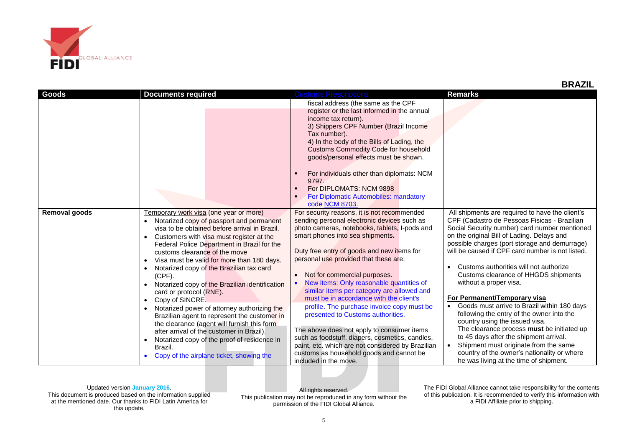

| Goods                | <b>Documents required</b>                      | <b>Customs Prescriptions</b>                      | <b>Remarks</b>                                   |
|----------------------|------------------------------------------------|---------------------------------------------------|--------------------------------------------------|
|                      |                                                | fiscal address (the same as the CPF               |                                                  |
|                      |                                                | register or the last informed in the annual       |                                                  |
|                      |                                                | income tax return).                               |                                                  |
|                      |                                                | 3) Shippers CPF Number (Brazil Income             |                                                  |
|                      |                                                | Tax number).                                      |                                                  |
|                      |                                                | 4) In the body of the Bills of Lading, the        |                                                  |
|                      |                                                | <b>Customs Commodity Code for household</b>       |                                                  |
|                      |                                                | goods/personal effects must be shown.             |                                                  |
|                      |                                                |                                                   |                                                  |
|                      |                                                | For individuals other than diplomats: NCM         |                                                  |
|                      |                                                | 9797.                                             |                                                  |
|                      |                                                | For DIPLOMATS: NCM 9898<br>$\blacksquare$         |                                                  |
|                      |                                                | For Diplomatic Automobiles: mandatory             |                                                  |
|                      |                                                | code NCM 8703.                                    |                                                  |
| <b>Removal goods</b> | Temporary work visa (one year or more)         | For security reasons, it is not recommended       | All shipments are required to have the client's  |
|                      | Notarized copy of passport and permanent       | sending personal electronic devices such as       | CPF (Cadastro de Pessoas Fisicas - Brazilian     |
|                      | visa to be obtained before arrival in Brazil.  | photo cameras, notebooks, tablets, I-pods and     | Social Security number) card number mentioned    |
|                      | Customers with visa must register at the       | smart phones into sea shipments.                  | on the original Bill of Lading. Delays and       |
|                      | Federal Police Department in Brazil for the    |                                                   | possible charges (port storage and demurrage)    |
|                      | customs clearance of the move                  | Duty free entry of goods and new items for        | will be caused if CPF card number is not listed. |
|                      | Visa must be valid for more than 180 days.     | personal use provided that these are:             |                                                  |
|                      | Notarized copy of the Brazilian tax card       |                                                   | Customs authorities will not authorize           |
|                      | $(CPF)$ .                                      | Not for commercial purposes.<br>$\bullet$         | Customs clearance of HHGDS shipments             |
|                      | Notarized copy of the Brazilian identification | New items: Only reasonable quantities of          | without a proper visa.                           |
|                      | card or protocol (RNE).                        | similar items per category are allowed and        |                                                  |
|                      | Copy of SINCRE                                 | must be in accordance with the client's           | For Permanent/Temporary visa                     |
|                      | Notarized power of attorney authorizing the    | profile. The purchase invoice copy must be        | Goods must arrive to Brazil within 180 days      |
|                      | Brazilian agent to represent the customer in   | presented to Customs authorities.                 | following the entry of the owner into the        |
|                      | the clearance (agent will furnish this form    |                                                   | country using the issued visa.                   |
|                      | after arrival of the customer in Brazil).      | The above does not apply to consumer items        | The clearance process must be initiated up       |
|                      | Notarized copy of the proof of residence in    | such as foodstuff, diapers, cosmetics, candles,   | to 45 days after the shipment arrival.           |
|                      | Brazil.                                        | paint, etc. which are not considered by Brazilian | Shipment must originate from the same            |
|                      | Copy of the airplane ticket, showing the       | customs as household goods and cannot be          | country of the owner's nationality or where      |
|                      |                                                | included in the move.                             | he was living at the time of shipment.           |

This document is produced based on the information supplied at the mentioned date. Our thanks to FIDI Latin America for this update.

All rights reserved. This publication may not be reproduced in any form without the permission of the FIDI Global Alliance.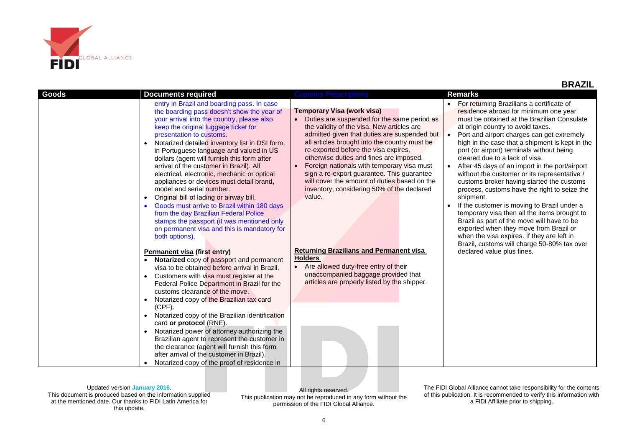

 **BRAZIL**

Updated version **January 2016**.

This document is produced based on the information supplied at the mentioned date. Our thanks to FIDI Latin America for this update.

All rights reserved. This publication may not be reproduced in any form without the permission of the FIDI Global Alliance.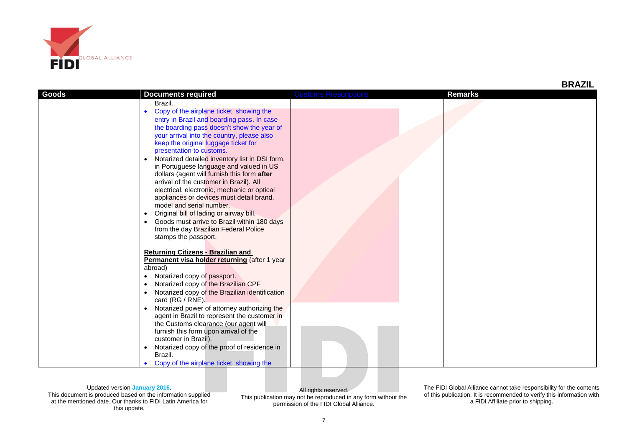

|       |                                                                                                                                                                                                                                                                                                                                                                                                                                                                                                                                                                                                                                                                                                                                                |                              |                | <b>BRAZIL</b> |
|-------|------------------------------------------------------------------------------------------------------------------------------------------------------------------------------------------------------------------------------------------------------------------------------------------------------------------------------------------------------------------------------------------------------------------------------------------------------------------------------------------------------------------------------------------------------------------------------------------------------------------------------------------------------------------------------------------------------------------------------------------------|------------------------------|----------------|---------------|
| Goods | <b>Documents required</b>                                                                                                                                                                                                                                                                                                                                                                                                                                                                                                                                                                                                                                                                                                                      | <b>Customs Prescriptions</b> | <b>Remarks</b> |               |
|       | Brazil.<br>• Copy of the airplane ticket, showing the<br>entry in Brazil and boarding pass. In case<br>the boarding pass doesn't show the year of<br>your arrival into the country, please also<br>keep the original luggage ticket for<br>presentation to customs.<br>Notarized detailed inventory list in DSI form,<br>in Portuguese language and valued in US<br>dollars (agent will furnish this form after<br>arrival of the customer in Brazil). All<br>electrical, electronic, mechanic or optical<br>appliances or devices must detail brand,<br>model and serial number.<br>Original bill of lading or airway bill.<br>• Goods must arrive to Brazil within 180 days<br>from the day Brazilian Federal Police<br>stamps the passport. |                              |                |               |
|       | <b>Returning Citizens - Brazilian and</b><br>Permanent visa holder returning (after 1 year<br>abroad)<br>• Notarized copy of passport.<br>Notarized copy of the Brazilian CPF<br>Notarized copy of the Brazilian identification<br>card (RG / RNE).<br>• Notarized power of attorney authorizing the<br>agent in Brazil to represent the customer in<br>the Customs clearance (our agent will<br>furnish this form upon arrival of the<br>customer in Brazil).<br>Notarized copy of the proof of residence in<br>Brazil.<br>Copy of the airplane ticket, showing the                                                                                                                                                                           |                              |                |               |

This document is produced based on the information supplied at the mentioned date. Our thanks to FIDI Latin America for this update.

All rights reserved. This publication may not be reproduced in any form without the permission of the FIDI Global Alliance.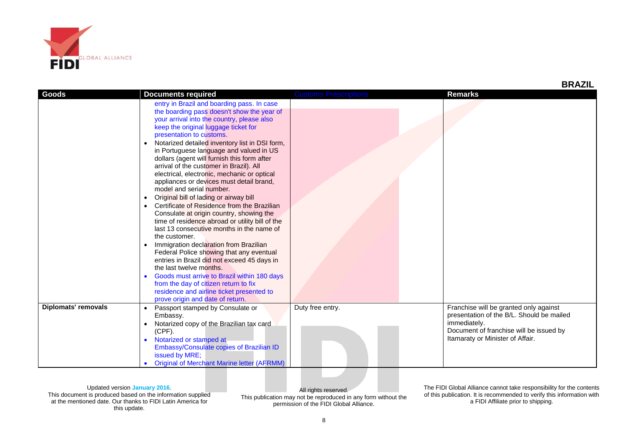

| Goods                      | <b>Documents required</b>                                                                                                                                                                                                                                                                                                                                                                                                                                                                                                                                                                                                                                                                                                                                                                                                                                                                                                                                                                                                                                                                                               | <b>Customs Prescriptions</b> | <b>Remarks</b>                                                                                                                                                                     |
|----------------------------|-------------------------------------------------------------------------------------------------------------------------------------------------------------------------------------------------------------------------------------------------------------------------------------------------------------------------------------------------------------------------------------------------------------------------------------------------------------------------------------------------------------------------------------------------------------------------------------------------------------------------------------------------------------------------------------------------------------------------------------------------------------------------------------------------------------------------------------------------------------------------------------------------------------------------------------------------------------------------------------------------------------------------------------------------------------------------------------------------------------------------|------------------------------|------------------------------------------------------------------------------------------------------------------------------------------------------------------------------------|
|                            | entry in Brazil and boarding pass. In case<br>the boarding pass doesn't show the year of<br>your arrival into the country, please also<br>keep the original luggage ticket for<br>presentation to customs.<br>Notarized detailed inventory list in DSI form,<br>in Portuguese language and valued in US<br>dollars (agent will furnish this form after<br>arrival of the customer in Brazil). All<br>electrical, electronic, mechanic or optical<br>appliances or devices must detail brand,<br>model and serial number.<br>Original bill of lading or airway bill<br>Certificate of Residence from the Brazilian<br>Consulate at origin country, showing the<br>time of residence abroad or utility bill of the<br>last 13 consecutive months in the name of<br>the customer.<br>Immigration declaration from Brazilian<br>Federal Police showing that any eventual<br>entries in Brazil did not exceed 45 days in<br>the last twelve months.<br>Goods must arrive to Brazil within 180 days<br>from the day of citizen return to fix<br>residence and airline ticket presented to<br>prove origin and date of return. |                              |                                                                                                                                                                                    |
| <b>Diplomats' removals</b> | Passport stamped by Consulate or<br>Embassy.<br>Notarized copy of the Brazilian tax card<br>$(CPF)$ .<br>Notarized or stamped at<br>Embassy/Consulate copies of Brazilian ID<br>issued by MRE;<br><b>Original of Merchant Marine letter (AFRMM)</b>                                                                                                                                                                                                                                                                                                                                                                                                                                                                                                                                                                                                                                                                                                                                                                                                                                                                     | Duty free entry.             | Franchise will be granted only against<br>presentation of the B/L. Should be mailed<br>immediately.<br>Document of franchise will be issued by<br>Itamaraty or Minister of Affair. |

This document is produced based on the information supplied at the mentioned date. Our thanks to FIDI Latin America for this update.

All rights reserved. This publication may not be reproduced in any form without the permission of the FIDI Global Alliance.

The FIDI Global Alliance cannot take responsibility for the contents of this publication. It is recommended to verify this information with a FIDI Affiliate prior to shipping.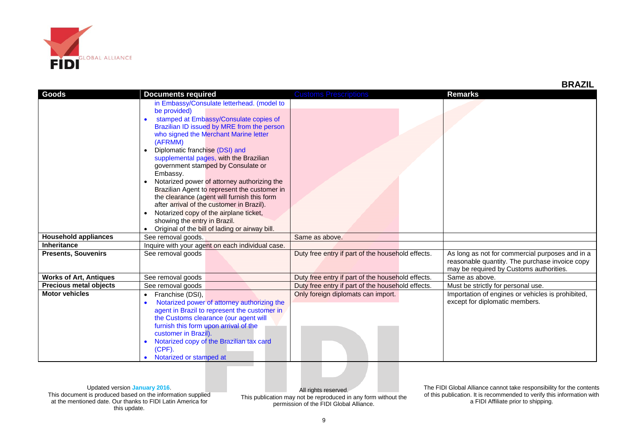

| Goods                         | <b>Documents required</b>                                     | <b>Customs Prescriptions</b>                      | <b>Remarks</b>                                    |
|-------------------------------|---------------------------------------------------------------|---------------------------------------------------|---------------------------------------------------|
|                               | in Embassy/Consulate letterhead. (model to                    |                                                   |                                                   |
|                               | be provided)                                                  |                                                   |                                                   |
|                               | stamped at Embassy/Consulate copies of<br>$\bullet$           |                                                   |                                                   |
|                               | Brazilian ID issued by MRE from the person                    |                                                   |                                                   |
|                               | who signed the Merchant Marine letter                         |                                                   |                                                   |
|                               | (AFRMM)                                                       |                                                   |                                                   |
|                               | Diplomatic franchise (DSI) and                                |                                                   |                                                   |
|                               | supplemental pages, with the Brazilian                        |                                                   |                                                   |
|                               | government stamped by Consulate or                            |                                                   |                                                   |
|                               | Embassy.                                                      |                                                   |                                                   |
|                               | Notarized power of attorney authorizing the<br>$\bullet$      |                                                   |                                                   |
|                               | Brazilian Agent to represent the customer in                  |                                                   |                                                   |
|                               | the clearance (agent will furnish this form                   |                                                   |                                                   |
|                               | after arrival of the customer in Brazil).                     |                                                   |                                                   |
|                               | Notarized copy of the airplane ticket,                        |                                                   |                                                   |
|                               | showing the entry in Brazil.                                  |                                                   |                                                   |
|                               | Original of the bill of lading or airway bill.                |                                                   |                                                   |
| <b>Household appliances</b>   | See removal goods.                                            | Same as above.                                    |                                                   |
| Inheritance                   | Inquire with your agent on each individual case.              |                                                   |                                                   |
| <b>Presents, Souvenirs</b>    | See removal goods                                             | Duty free entry if part of the household effects. | As long as not for commercial purposes and in a   |
|                               |                                                               |                                                   | reasonable quantity. The purchase invoice copy    |
|                               |                                                               |                                                   | may be required by Customs authorities.           |
| <b>Works of Art, Antiques</b> | See removal goods                                             | Duty free entry if part of the household effects. | Same as above.                                    |
| <b>Precious metal objects</b> | See removal goods                                             | Duty free entry if part of the household effects. | Must be strictly for personal use.                |
| <b>Motor vehicles</b>         | Franchise (DSI),<br>$\bullet$                                 | Only foreign diplomats can import.                | Importation of engines or vehicles is prohibited, |
|                               | Notarized power of attorney authorizing the<br>$\bullet$      |                                                   | except for diplomatic members.                    |
|                               | agent in Brazil to represent the customer in                  |                                                   |                                                   |
|                               | the Customs clearance (our agent will                         |                                                   |                                                   |
|                               | furnish this form upon arrival of the<br>customer in Brazil). |                                                   |                                                   |
|                               |                                                               |                                                   |                                                   |
|                               | Notarized copy of the Brazilian tax card<br>$\bullet$         |                                                   |                                                   |
|                               | (CPF).<br>Notarized or stamped at                             |                                                   |                                                   |
|                               |                                                               |                                                   |                                                   |

This document is produced based on the information supplied at the mentioned date. Our thanks to FIDI Latin America for this update.

All rights reserved. This publication may not be reproduced in any form without the permission of the FIDI Global Alliance.

The FIDI Global Alliance cannot take responsibility for the contents of this publication. It is recommended to verify this information with a FIDI Affiliate prior to shipping.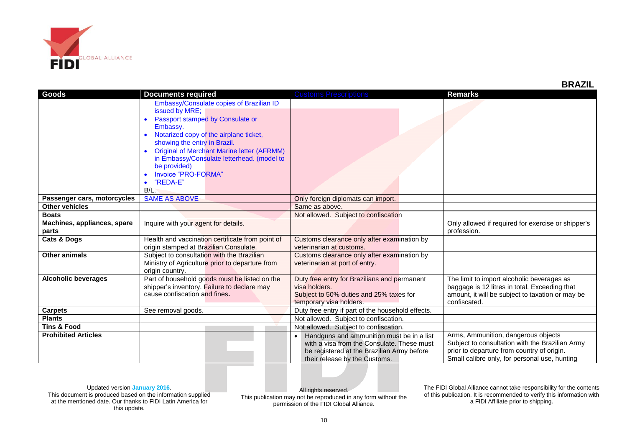

| Goods                       | <b>Documents required</b>                         | <b>Customs Prescriptions</b>                      | <b>Remarks</b>                                     |
|-----------------------------|---------------------------------------------------|---------------------------------------------------|----------------------------------------------------|
|                             | Embassy/Consulate copies of Brazilian ID          |                                                   |                                                    |
|                             | issued by MRE;                                    |                                                   |                                                    |
|                             | Passport stamped by Consulate or                  |                                                   |                                                    |
|                             | Embassy.                                          |                                                   |                                                    |
|                             | Notarized copy of the airplane ticket,            |                                                   |                                                    |
|                             | showing the entry in Brazil.                      |                                                   |                                                    |
|                             | <b>Original of Merchant Marine letter (AFRMM)</b> |                                                   |                                                    |
|                             | in Embassy/Consulate letterhead. (model to        |                                                   |                                                    |
|                             | be provided)                                      |                                                   |                                                    |
|                             | Invoice "PRO-FORMA"                               |                                                   |                                                    |
|                             | "REDA-E"                                          |                                                   |                                                    |
|                             | B/L                                               |                                                   |                                                    |
| Passenger cars, motorcycles | <b>SAME AS ABOVE</b>                              | Only foreign diplomats can import.                |                                                    |
| <b>Other vehicles</b>       |                                                   | Same as above.                                    |                                                    |
| <b>Boats</b>                |                                                   | Not allowed. Subject to confiscation              |                                                    |
| Machines, appliances, spare | Inquire with your agent for details.              |                                                   | Only allowed if required for exercise or shipper's |
| parts                       |                                                   |                                                   | profession.                                        |
| <b>Cats &amp; Dogs</b>      | Health and vaccination certificate from point of  | Customs clearance only after examination by       |                                                    |
|                             | origin stamped at Brazilian Consulate.            | veterinarian at customs.                          |                                                    |
| <b>Other animals</b>        | Subject to consultation with the Brazilian        | Customs clearance only after examination by       |                                                    |
|                             | Ministry of Agriculture prior to departure from   | veterinarian at port of entry.                    |                                                    |
|                             | origin country.                                   |                                                   |                                                    |
| <b>Alcoholic beverages</b>  | Part of household goods must be listed on the     | Duty free entry for Brazilians and permanent      | The limit to import alcoholic beverages as         |
|                             | shipper's inventory. Failure to declare may       | visa holders.                                     | baggage is 12 litres in total. Exceeding that      |
|                             | cause confiscation and fines.                     | Subject to 50% duties and 25% taxes for           | amount, it will be subject to taxation or may be   |
|                             |                                                   | temporary visa holders.                           | confiscated.                                       |
| <b>Carpets</b>              | See removal goods.                                | Duty free entry if part of the household effects. |                                                    |
| <b>Plants</b>               |                                                   | Not allowed. Subject to confiscation.             |                                                    |
| <b>Tins &amp; Food</b>      |                                                   | Not allowed. Subject to confiscation.             |                                                    |
| <b>Prohibited Articles</b>  |                                                   | Handguns and ammunition must be in a list         | Arms, Ammunition, dangerous objects                |
|                             |                                                   | with a visa from the Consulate. These must        | Subject to consultation with the Brazilian Army    |
|                             |                                                   | be registered at the Brazilian Army before        | prior to departure from country of origin.         |
|                             |                                                   | their release by the Customs.                     | Small calibre only, for personal use, hunting      |

This document is produced based on the information supplied at the mentioned date. Our thanks to FIDI Latin America for this update.

All rights reserved. This publication may not be reproduced in any form without the permission of the FIDI Global Alliance.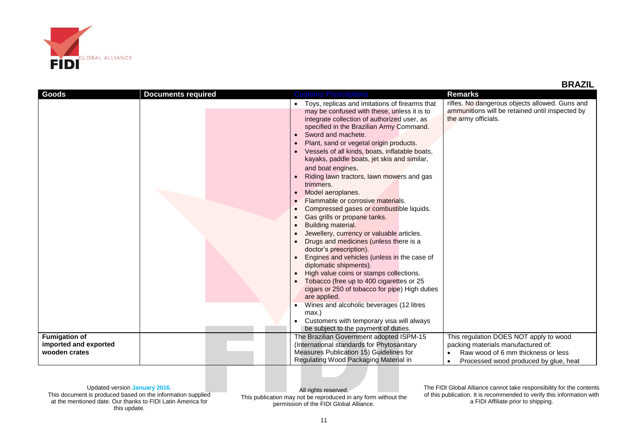

 **BRAZIL**

| Goods                 | <b>Documents required</b> | <b>Customs Prescriptions</b>                                                      | <b>Remarks</b>                                  |
|-----------------------|---------------------------|-----------------------------------------------------------------------------------|-------------------------------------------------|
|                       |                           | Toys, replicas and imitations of firearms that                                    | rifles. No dangerous objects allowed. Guns and  |
|                       |                           | may be confused with these, unless it is to                                       | ammunitions will be retained until inspected by |
|                       |                           | integrate collection of authorized user, as                                       | the army officials.                             |
|                       |                           | specified in the Brazilian Army Command.                                          |                                                 |
|                       |                           | Sword and machete.                                                                |                                                 |
|                       |                           | Plant, sand or vegetal origin products.                                           |                                                 |
|                       |                           | Vessels of all kinds, boats, inflatable boats,                                    |                                                 |
|                       |                           | kayaks, paddle boats, jet skis and similar,                                       |                                                 |
|                       |                           | and boat engines.                                                                 |                                                 |
|                       |                           | Riding lawn tractors, lawn mowers and gas                                         |                                                 |
|                       |                           | trimmers.                                                                         |                                                 |
|                       |                           | Model aeroplanes.<br>Flammable or corrosive materials.                            |                                                 |
|                       |                           | Compressed gases or combustible liquids.                                          |                                                 |
|                       |                           | Gas grills or propane tanks.                                                      |                                                 |
|                       |                           | Building material.                                                                |                                                 |
|                       |                           | Jewellery, currency or valuable articles.                                         |                                                 |
|                       |                           | Drugs and medicines (unless there is a                                            |                                                 |
|                       |                           | doctor's prescription).                                                           |                                                 |
|                       |                           | Engines and vehicles (unless in the case of                                       |                                                 |
|                       |                           | diplomatic shipments).                                                            |                                                 |
|                       |                           | High value coins or stamps collections.                                           |                                                 |
|                       |                           | Tobacco (free up to 400 cigarettes or 25                                          |                                                 |
|                       |                           | cigars or 250 of tobacco for pipe) High duties                                    |                                                 |
|                       |                           | are applied.                                                                      |                                                 |
|                       |                           | Wines and alcoholic beverages (12 litres                                          |                                                 |
|                       |                           | max.)                                                                             |                                                 |
|                       |                           | Customers with temporary visa will always<br>be subject to the payment of duties. |                                                 |
| <b>Fumigation of</b>  |                           | The Brazilian Government adopted ISPM-15                                          | This regulation DOES NOT apply to wood          |
| imported and exported |                           | (International standards for Phytosanitary                                        | packing materials manufactured of:              |
| wooden crates         |                           | Measures Publication 15) Guidelines for                                           | Raw wood of 6 mm thickness or less              |
|                       |                           | Regulating Wood Packaging Material in                                             | Processed wood produced by glue, heat           |

## Updated version **January 2016**.

This document is produced based on the information supplied at the mentioned date. Our thanks to FIDI Latin America for this update.

All rights reserved. This publication may not be reproduced in any form without the permission of the FIDI Global Alliance.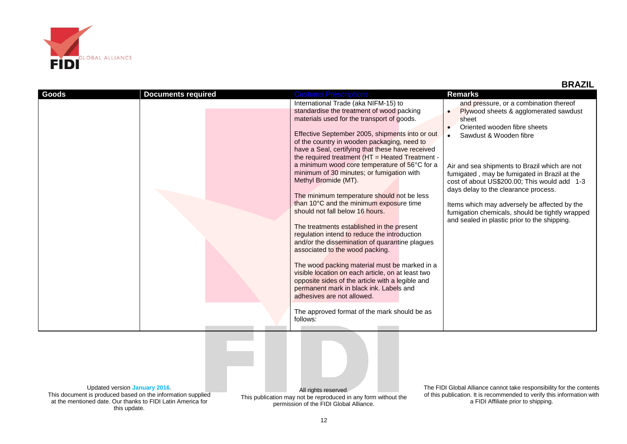

this update.

 **BRAZIL**

| <b>Goods</b>                                                                                                                                 | <b>Documents required</b> | <b>Customs Prescriptions</b>                                   | <b>Remarks</b>                                                         |  |
|----------------------------------------------------------------------------------------------------------------------------------------------|---------------------------|----------------------------------------------------------------|------------------------------------------------------------------------|--|
|                                                                                                                                              |                           | International Trade (aka NIFM-15) to                           | and pressure, or a combination thereof                                 |  |
|                                                                                                                                              |                           | standardise the treatment of wood packing                      | Plywood sheets & agglomerated sawdust                                  |  |
|                                                                                                                                              |                           | materials used for the transport of goods.                     | sheet                                                                  |  |
|                                                                                                                                              |                           |                                                                | Oriented wooden fibre sheets                                           |  |
|                                                                                                                                              |                           | Effective September 2005, shipments into or out                | Sawdust & Wooden fibre                                                 |  |
|                                                                                                                                              |                           | of the country in wooden packaging, need to                    |                                                                        |  |
|                                                                                                                                              |                           | have a Seal, certifying that these have received               |                                                                        |  |
|                                                                                                                                              |                           | the required treatment (HT = Heated Treatment -                |                                                                        |  |
|                                                                                                                                              |                           | a minimum wood core temperature of 56°C for a                  | Air and sea shipments to Brazil which are not                          |  |
|                                                                                                                                              |                           | minimum of 30 minutes; or fumigation with                      | fumigated, may be fumigated in Brazil at the                           |  |
|                                                                                                                                              |                           | Methyl Bromide (MT).                                           | cost of about US\$200.00; This would add 1-3                           |  |
|                                                                                                                                              |                           |                                                                | days delay to the clearance process.                                   |  |
|                                                                                                                                              |                           | The minimum temperature should not be less                     |                                                                        |  |
|                                                                                                                                              |                           | than 10°C and the minimum exposure time                        | Items which may adversely be affected by the                           |  |
|                                                                                                                                              |                           | should not fall below 16 hours.                                | fumigation chemicals, should be tightly wrapped                        |  |
|                                                                                                                                              |                           |                                                                | and sealed in plastic prior to the shipping.                           |  |
|                                                                                                                                              |                           | The treatments established in the present                      |                                                                        |  |
|                                                                                                                                              |                           | regulation intend to reduce the introduction                   |                                                                        |  |
|                                                                                                                                              |                           | and/or the dissemination of quarantine plagues                 |                                                                        |  |
|                                                                                                                                              |                           | associated to the wood packing.                                |                                                                        |  |
|                                                                                                                                              |                           | The wood packing material must be marked in a                  |                                                                        |  |
|                                                                                                                                              |                           | visible location on each article, on at least two              |                                                                        |  |
|                                                                                                                                              |                           | opposite sides of the article with a legible and               |                                                                        |  |
|                                                                                                                                              |                           | permanent mark in black ink. Labels and                        |                                                                        |  |
|                                                                                                                                              |                           | adhesives are not allowed.                                     |                                                                        |  |
|                                                                                                                                              |                           |                                                                |                                                                        |  |
|                                                                                                                                              |                           | The approved format of the mark should be as                   |                                                                        |  |
|                                                                                                                                              |                           | follows:                                                       |                                                                        |  |
|                                                                                                                                              |                           |                                                                |                                                                        |  |
|                                                                                                                                              |                           |                                                                |                                                                        |  |
|                                                                                                                                              |                           |                                                                |                                                                        |  |
|                                                                                                                                              |                           |                                                                |                                                                        |  |
|                                                                                                                                              |                           |                                                                |                                                                        |  |
|                                                                                                                                              |                           |                                                                |                                                                        |  |
|                                                                                                                                              |                           |                                                                |                                                                        |  |
|                                                                                                                                              |                           |                                                                |                                                                        |  |
| Updated version January 2016.                                                                                                                |                           | All rights reserved.                                           | The FIDI Global Alliance cannot take responsibility for the contents   |  |
| This document is produced based on the information supplied                                                                                  |                           | This publication may not be reproduced in any form without the | of this publication. It is recommended to verify this information with |  |
| at the mentioned date. Our thanks to FIDI Latin America for<br>a FIDI Affiliate prior to shipping.<br>nermission of the FIDI Global Alliance |                           |                                                                |                                                                        |  |

12

permission of the FIDI Global Alliance.